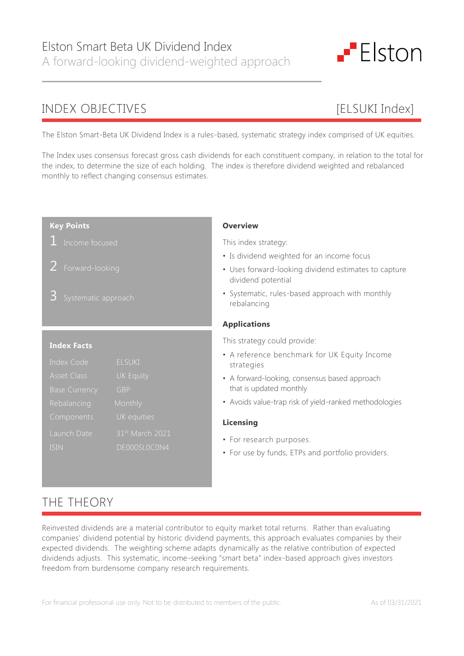# INDEX OBJECTIVES [ELSUKI Index]

The Elston Smart-Beta UK Dividend Index is a rules-based, systematic strategy index comprised of UK equities.

The Index uses consensus forecast gross cash dividends for each constituent company, in relation to the total for the index, to determine the size of each holding. The index is therefore dividend weighted and rebalanced monthly to reflect changing consensus estimates.

#### **Key Points**

1 Income focused

- 2 Forward-looking
- 3 Systematic approach

#### **Index Facts**

| <b>Index Code</b>    | ELSUKI           |
|----------------------|------------------|
| <b>Asset Class</b>   | <b>UK Equity</b> |
| <b>Base Currency</b> | GBP              |
| Rebalancing          | Monthly          |
| Components           | UK equities      |
| Launch Date          | 31st March 2021  |
| <b>ISIN</b>          | DE000SL0C0N4     |

#### **Overview**

This index strategy:

- Is dividend weighted for an income focus
- Uses forward-looking dividend estimates to capture dividend potential
- Systematic, rules-based approach with monthly rebalancing

### **Applications**

This strategy could provide:

- A reference benchmark for UK Equity Income strategies
- A forward-looking, consensus based approach that is updated monthly
- Avoids value-trap risk of yield-ranked methodologies

#### **Licensing**

- For research purposes.
- For use by funds, ETPs and portfolio providers.

# THE THEORY

Reinvested dividends are a material contributor to equity market total returns. Rather than evaluating companies' dividend potential by historic dividend payments, this approach evaluates companies by their expected dividends. The weighting scheme adapts dynamically as the relative contribution of expected dividends adjusts. This systematic, income-seeking "smart beta" index-based approach gives investors freedom from burdensome company research requirements.